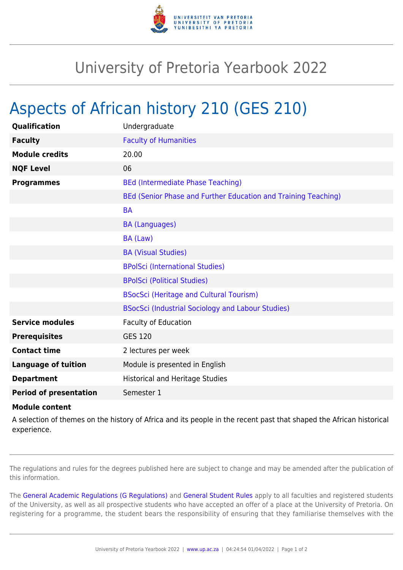

## University of Pretoria Yearbook 2022

## Aspects of African history 210 (GES 210)

| <b>Qualification</b>          | Undergraduate                                                  |
|-------------------------------|----------------------------------------------------------------|
| <b>Faculty</b>                | <b>Faculty of Humanities</b>                                   |
| <b>Module credits</b>         | 20.00                                                          |
| <b>NQF Level</b>              | 06                                                             |
| <b>Programmes</b>             | <b>BEd (Intermediate Phase Teaching)</b>                       |
|                               | BEd (Senior Phase and Further Education and Training Teaching) |
|                               | <b>BA</b>                                                      |
|                               | <b>BA (Languages)</b>                                          |
|                               | BA (Law)                                                       |
|                               | <b>BA (Visual Studies)</b>                                     |
|                               | <b>BPolSci (International Studies)</b>                         |
|                               | <b>BPolSci (Political Studies)</b>                             |
|                               | <b>BSocSci (Heritage and Cultural Tourism)</b>                 |
|                               | BSocSci (Industrial Sociology and Labour Studies)              |
| <b>Service modules</b>        | <b>Faculty of Education</b>                                    |
| <b>Prerequisites</b>          | <b>GES 120</b>                                                 |
| <b>Contact time</b>           | 2 lectures per week                                            |
| <b>Language of tuition</b>    | Module is presented in English                                 |
| <b>Department</b>             | <b>Historical and Heritage Studies</b>                         |
| <b>Period of presentation</b> | Semester 1                                                     |

## **Module content**

A selection of themes on the history of Africa and its people in the recent past that shaped the African historical experience.

The regulations and rules for the degrees published here are subject to change and may be amended after the publication of this information.

The [General Academic Regulations \(G Regulations\)](https://www.up.ac.za/yearbooks/2022/rules/view/REG) and [General Student Rules](https://www.up.ac.za/yearbooks/2022/rules/view/RUL) apply to all faculties and registered students of the University, as well as all prospective students who have accepted an offer of a place at the University of Pretoria. On registering for a programme, the student bears the responsibility of ensuring that they familiarise themselves with the